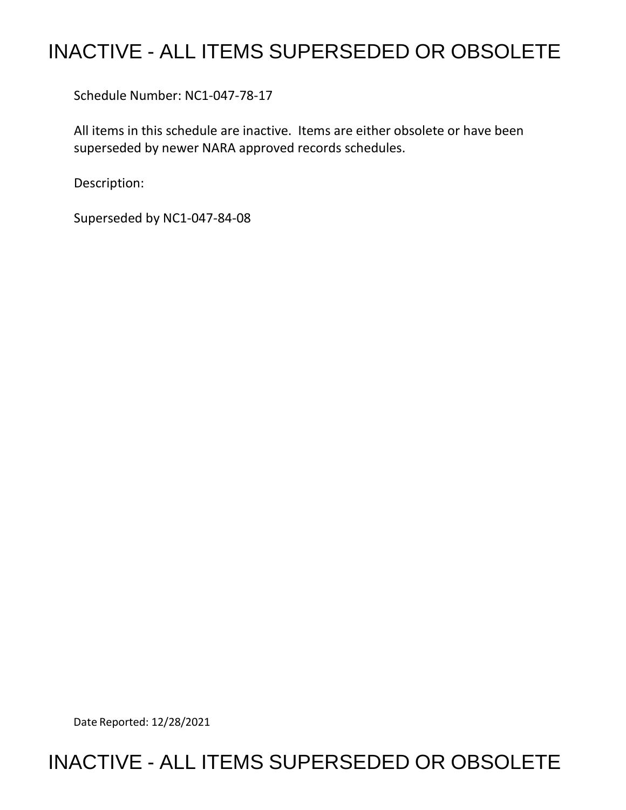## INACTIVE - ALL ITEMS SUPERSEDED OR OBSOLETE

Schedule Number: NC1-047-78-17

 All items in this schedule are inactive. Items are either obsolete or have been superseded by newer NARA approved records schedules.

Description:

Superseded by NC1-047-84-08

Date Reported: 12/28/2021

## INACTIVE - ALL ITEMS SUPERSEDED OR OBSOLETE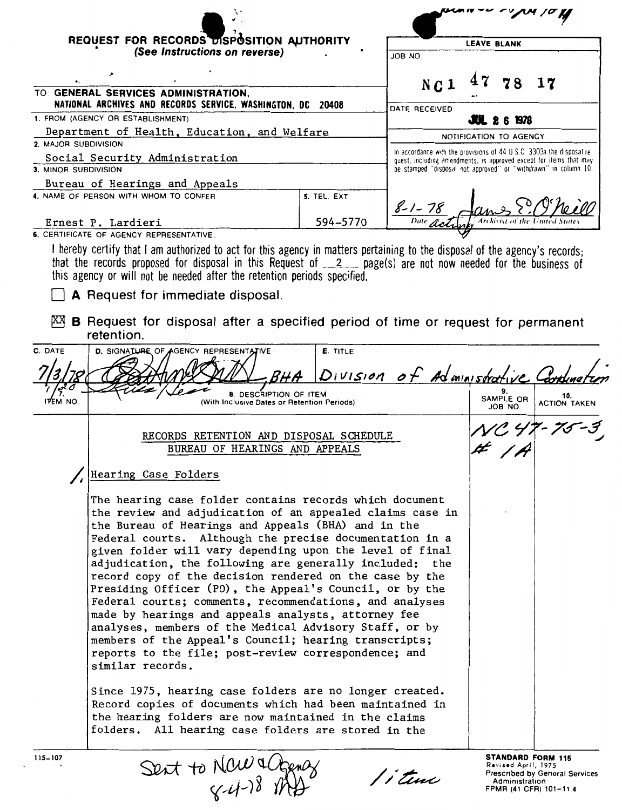| REQUEST FOR RECORDS DISPOSITION AUTHORITY<br>(See Instructions on reverse)        |                                                                                                                                                                                                                                                                                                                                                                                                                                                                                                                                                                                                                                                                                                                                                                                                                                                                                                                                                                                                                                           |                 |                                                                                                                                             |  |                                       |                                                                                      |
|-----------------------------------------------------------------------------------|-------------------------------------------------------------------------------------------------------------------------------------------------------------------------------------------------------------------------------------------------------------------------------------------------------------------------------------------------------------------------------------------------------------------------------------------------------------------------------------------------------------------------------------------------------------------------------------------------------------------------------------------------------------------------------------------------------------------------------------------------------------------------------------------------------------------------------------------------------------------------------------------------------------------------------------------------------------------------------------------------------------------------------------------|-----------------|---------------------------------------------------------------------------------------------------------------------------------------------|--|---------------------------------------|--------------------------------------------------------------------------------------|
|                                                                                   |                                                                                                                                                                                                                                                                                                                                                                                                                                                                                                                                                                                                                                                                                                                                                                                                                                                                                                                                                                                                                                           |                 | <b>LEAVE BLANK</b><br>JOB NO.                                                                                                               |  |                                       |                                                                                      |
|                                                                                   |                                                                                                                                                                                                                                                                                                                                                                                                                                                                                                                                                                                                                                                                                                                                                                                                                                                                                                                                                                                                                                           |                 |                                                                                                                                             |  |                                       |                                                                                      |
|                                                                                   | TO: GENERAL SERVICES ADMINISTRATION,                                                                                                                                                                                                                                                                                                                                                                                                                                                                                                                                                                                                                                                                                                                                                                                                                                                                                                                                                                                                      |                 | N C 1                                                                                                                                       |  | 78                                    |                                                                                      |
|                                                                                   | NATIONAL ARCHIVES AND RECORDS SERVICE, WASHINGTON, DC 20408                                                                                                                                                                                                                                                                                                                                                                                                                                                                                                                                                                                                                                                                                                                                                                                                                                                                                                                                                                               |                 | DATE RECEIVED                                                                                                                               |  |                                       |                                                                                      |
| 1. FROM (AGENCY OR ESTABLISHMENT)<br>Department of Health, Education, and Welfare |                                                                                                                                                                                                                                                                                                                                                                                                                                                                                                                                                                                                                                                                                                                                                                                                                                                                                                                                                                                                                                           |                 |                                                                                                                                             |  | <b>JUL 26 1978</b>                    |                                                                                      |
| 2. MAJOR SUBDIVISION                                                              |                                                                                                                                                                                                                                                                                                                                                                                                                                                                                                                                                                                                                                                                                                                                                                                                                                                                                                                                                                                                                                           |                 |                                                                                                                                             |  | NOTIFICATION TO AGENCY                |                                                                                      |
|                                                                                   | Social Security Administration                                                                                                                                                                                                                                                                                                                                                                                                                                                                                                                                                                                                                                                                                                                                                                                                                                                                                                                                                                                                            |                 | In accordance with the provisions of 44 U.S.C. 3303a the disposal re-<br>quest, including amendments, is approved except for items that may |  |                                       |                                                                                      |
| 3. MINOR SUBDIVISION                                                              |                                                                                                                                                                                                                                                                                                                                                                                                                                                                                                                                                                                                                                                                                                                                                                                                                                                                                                                                                                                                                                           |                 | be stamped "disposal not approved" or "withdrawn" in column 10.                                                                             |  |                                       |                                                                                      |
|                                                                                   | Bureau of Hearings and Appeals<br>4. NAME OF PERSON WITH WHOM TO CONFER                                                                                                                                                                                                                                                                                                                                                                                                                                                                                                                                                                                                                                                                                                                                                                                                                                                                                                                                                                   | 5. TEL. EXT.    |                                                                                                                                             |  |                                       |                                                                                      |
|                                                                                   | Ernest P. Lardieri                                                                                                                                                                                                                                                                                                                                                                                                                                                                                                                                                                                                                                                                                                                                                                                                                                                                                                                                                                                                                        | 594-5770        | $8 - 1 - 78$                                                                                                                                |  |                                       |                                                                                      |
|                                                                                   | 6. CERTIFICATE OF AGENCY REPRESENTATIVE:<br>I hereby certify that I am authorized to act for this agency in matters pertaining to the disposal of the agency's records;                                                                                                                                                                                                                                                                                                                                                                                                                                                                                                                                                                                                                                                                                                                                                                                                                                                                   |                 |                                                                                                                                             |  |                                       |                                                                                      |
|                                                                                   | that the records proposed for disposal in this Request of __2 __ page(s) are not now needed for the business of<br>this agency or will not be needed after the retention periods specified.<br>A Request for immediate disposal.                                                                                                                                                                                                                                                                                                                                                                                                                                                                                                                                                                                                                                                                                                                                                                                                          |                 |                                                                                                                                             |  |                                       |                                                                                      |
| KХ                                                                                | <b>B</b> Request for disposal after a specified period of time or request for permanent<br>retention.                                                                                                                                                                                                                                                                                                                                                                                                                                                                                                                                                                                                                                                                                                                                                                                                                                                                                                                                     |                 |                                                                                                                                             |  |                                       |                                                                                      |
| C. DATE                                                                           | D. SIGNATURE OF AGENCY REPRESENTATIVE                                                                                                                                                                                                                                                                                                                                                                                                                                                                                                                                                                                                                                                                                                                                                                                                                                                                                                                                                                                                     | <b>E. TITLE</b> | Division of Administrative                                                                                                                  |  |                                       |                                                                                      |
| ITEM NO.                                                                          | 8. DESCRIPTION OF ITEM<br>(With Inclusive Dates or Retention Periods)                                                                                                                                                                                                                                                                                                                                                                                                                                                                                                                                                                                                                                                                                                                                                                                                                                                                                                                                                                     |                 |                                                                                                                                             |  | 9.<br>SAMPLE OR<br>JOB NO.            | 10.<br><b>ACTION TAKEN</b>                                                           |
|                                                                                   | RECORDS RETENTION AND DISPOSAL SCHEDULE<br>BUREAU OF HEARINGS AND APPEALS                                                                                                                                                                                                                                                                                                                                                                                                                                                                                                                                                                                                                                                                                                                                                                                                                                                                                                                                                                 |                 |                                                                                                                                             |  |                                       |                                                                                      |
|                                                                                   | / Hearing Case Folders                                                                                                                                                                                                                                                                                                                                                                                                                                                                                                                                                                                                                                                                                                                                                                                                                                                                                                                                                                                                                    |                 |                                                                                                                                             |  |                                       |                                                                                      |
|                                                                                   | The hearing case folder contains records which document<br>the review and adjudication of an appealed claims case in<br>the Bureau of Hearings and Appeals (BHA) and in the<br>Federal courts. Although the precise documentation in a<br>given folder will vary depending upon the level of final<br>adjudication, the following are generally included: the<br>record copy of the decision rendered on the case by the<br>Presiding Officer (PO), the Appeal's Council, or by the<br>Federal courts; comments, recommendations, and analyses<br>made by hearings and appeals analysts, attorney fee<br>analyses, members of the Medical Advisory Staff, or by<br>members of the Appeal's Council; hearing transcripts;<br>reports to the file; post-review correspondence; and<br>similar records.<br>Since 1975, hearing case folders are no longer created.<br>Record copies of documents which had been maintained in<br>the hearing folders are now maintained in the claims<br>folders. All hearing case folders are stored in the |                 |                                                                                                                                             |  |                                       |                                                                                      |
| $115 - 107$                                                                       | Sent to Naw actomy                                                                                                                                                                                                                                                                                                                                                                                                                                                                                                                                                                                                                                                                                                                                                                                                                                                                                                                                                                                                                        |                 | / j time                                                                                                                                    |  | Revised April, 1975<br>Administration | <b>STANDARD FORM 115</b><br>Prescribed by General Services<br>FPMR (41 CFR) 101-11.4 |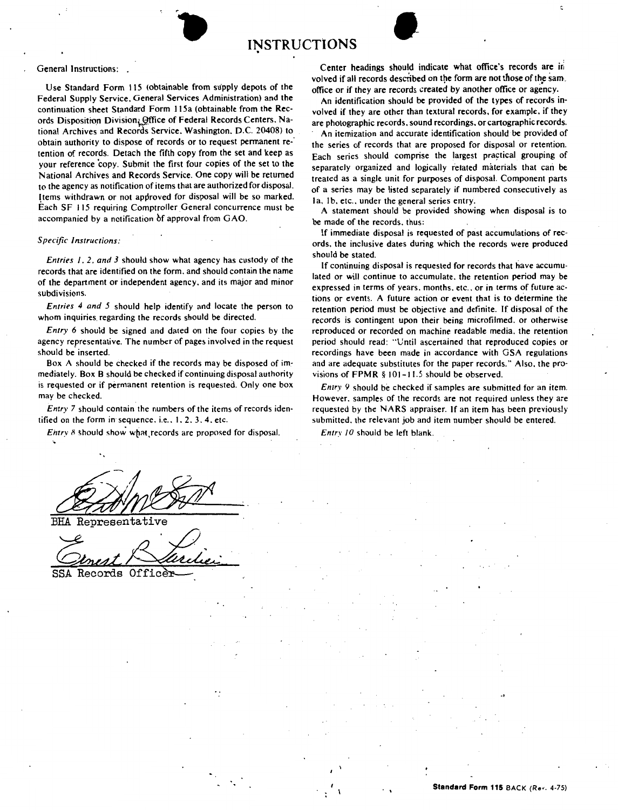

Use Standard Form 115 (obtainable from supply depots of the Federal Supply Service, General Services Administration) and the continuation sheet Standard Form 115a (obtainable from the **Rec**ords Disposition Division. Office of Federal Records Centers. National Archives and Records Service. Washington. D.C. 20408) to obtain authority to dispose of records or to request permanent retention of records. Detach the fifth copy from the set and **keep** as your reference 'copy. Submit the first four copies of the set to the National Archives and Records Service. One copy will be returned to the agency as notification of items that are authorized for disposal. Items withdrawn or not approved for disposal will be so marked. Each SF 115 requiring Comptroller General concurrence must be accompanied by a notification bf approval from GAO.

## *Specific Instructions:*

*Entries I. 2. and 3* should show what agency has custody of the records that are identified on the form. and should contain the name of the department or independent agency. and its major and minor subdivisions.

*Entries 4 and 5* should help identify and locate the person to whom inquiries. regarding the records should be directed.

*Entry 6* should be signed and dated on the four copies by the agency representative. The number of pages involved in the request should be inserted.

Box A should be checked if the records may be disposed of immediately. Box B should be checked if continuing disposal authority is requested or if permanent retention is requested. Only one box may be checked.

*Entry* 7 should contain the numbers of the items of records identified on the form in sequence. i.e.,  $1, 2, 3, 4$ . etc.

*Entry 8* should show what records are proposed for disposal.

Representative

Genest Barchei

Records Office

Center headings should indicate what office's records are in volved if all records described on the form are not those of the sam\_ office or if they are records created by another office or agency.

An identification should be provided of the types of records involved if they are other than textural records, for example, if they are photographic records. sound recordings. or cartographic records.

An itemization and accurate identification should be provided of the series of records that are proposed for disposal or retention. Each series should comprise the largest practical grouping of separately organized and logically related materials that can **be**  treated as a single unit for purposes of disposal. Component parts of a series may be listed separately if numbered consecutively as la, 1b, etc., under the general series entry.

A statement should be provided showing when disposal is to be made of the records. thus:

If immediate disposal is requested of past accumulations of records. the inclusive dates during which the records were produced should be stated.

If continuing disposal is requested for records that have accumulated or will continue to accumulate. the retention period may be expressed in terms of years. months. etc .. or in terms of future actions or events. A future action or event that is to determine the retention period must be objective and definite. If disposal of the records is contingent upon their being microfilmed. or otherwise reproduced or recorded on machine readable media, the retention period should read: "Until ascertained that reproduced copies or recordings have been made in accordance with GSA regulations and are adequate substitutes for the paper records." Also. the provisions of FPMR § 101-11.5 should be observed.

*Entry 9* should be checked if samples are submitted for an item. However. samples of the records are not required unless they are requested by the **NARS** appraiser. If an item has been previously submitted. the relevant job and item number should be entered.

*Entry 10* should be left blank.